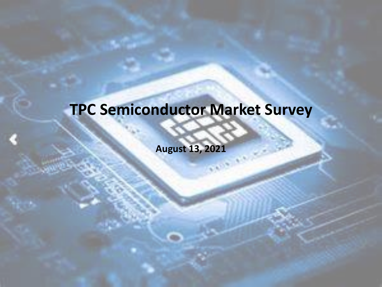### **TPC Semiconductor Market Survey**

**August 13, 2021**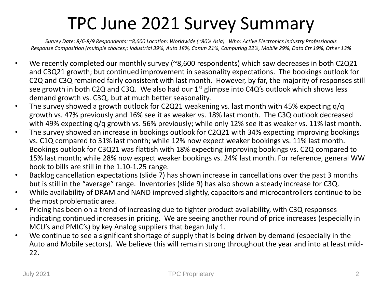### TPC June 2021 Survey Summary

*Survey Date: 8/6-8/9 Respondents: ~8,600 Location: Worldwide (~80% Asia) Who: Active Electronics Industry Professionals Response Composition (multiple choices): Industrial 39%, Auto 18%, Comm 21%, Computing 22%, Mobile 29%, Data Ctr 19%, Other 13%*

- We recently completed our monthly survey (~8,600 respondents) which saw decreases in both C2Q21 and C3Q21 growth; but continued improvement in seasonality expectations. The bookings outlook for C2Q and C3Q remained fairly consistent with last month. However, by far, the majority of responses still see growth in both C2Q and C3Q. We also had our  $1<sup>st</sup>$  glimpse into C4Q's outlook which shows less demand growth vs. C3Q, but at much better seasonality.
- The survey showed a growth outlook for C2Q21 weakening vs. last month with 45% expecting q/q growth vs. 47% previously and 16% see it as weaker vs. 18% last month. The C3Q outlook decreased with 49% expecting q/q growth vs. 56% previously; while only 12% see it as weaker vs. 11% last month.
- The survey showed an increase in bookings outlook for C2Q21 with 34% expecting improving bookings vs. C1Q compared to 31% last month; while 12% now expect weaker bookings vs. 11% last month. Bookings outlook for C3Q21 was flattish with 18% expecting improving bookings vs. C2Q compared to 15% last month; while 28% now expect weaker bookings vs. 24% last month. For reference, general WW book to bills are still in the 1.10-1.25 range.
- Backlog cancellation expectations (slide 7) has shown increase in cancellations over the past 3 months but is still in the "average" range. Inventories (slide 9) has also shown a steady increase for C3Q.
- While availability of DRAM and NAND improved slightly, capacitors and microcontrollers continue to be the most problematic area.
- Pricing has been on a trend of increasing due to tighter product availability, with C3Q responses indicating continued increases in pricing. We are seeing another round of price increases (especially in MCU's and PMIC's) by key Analog suppliers that began July 1.
- We continue to see a significant shortage of supply that is being driven by demand (especially in the Auto and Mobile sectors). We believe this will remain strong throughout the year and into at least mid-22.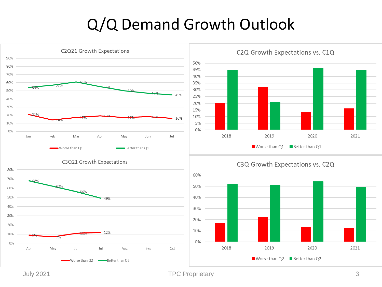#### Q/Q Demand Growth Outlook

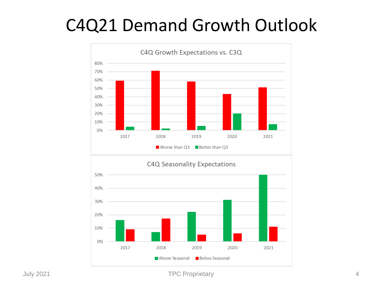### C4Q21 Demand Growth Outlook

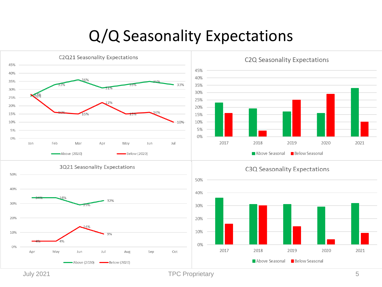#### Q/Q Seasonality Expectations

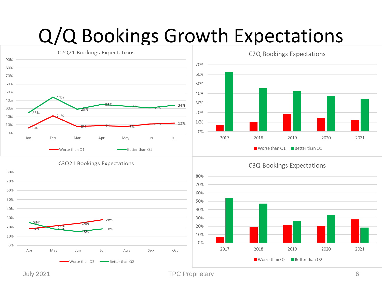## Q/Q Bookings Growth Expectations



July 2021 TPC Proprietary 6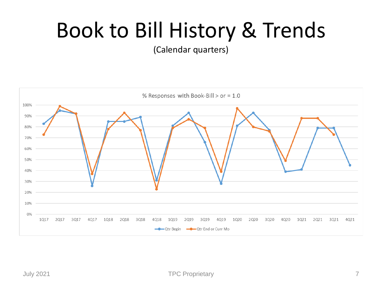## Book to Bill History & Trends

(Calendar quarters)

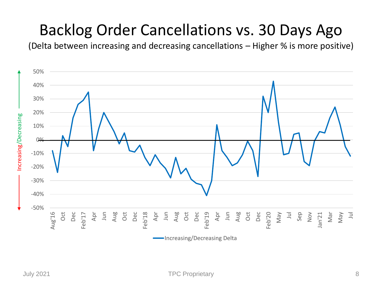#### Backlog Order Cancellations vs. 30 Days Ago

(Delta between increasing and decreasing cancellations – Higher % is more positive)

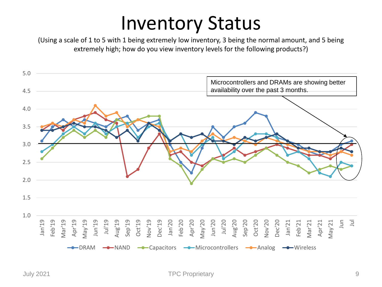### Inventory Status

(Using a scale of 1 to 5 with 1 being extremely low inventory, 3 being the normal amount, and 5 being extremely high; how do you view inventory levels for the following products?)

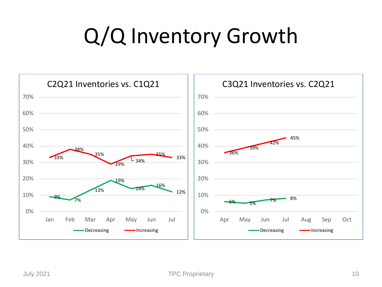## Q/Q Inventory Growth

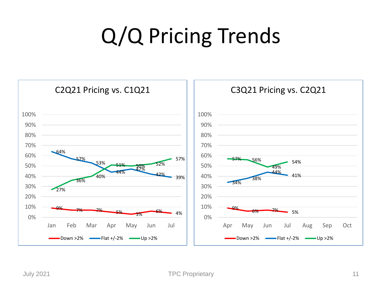# Q/Q Pricing Trends